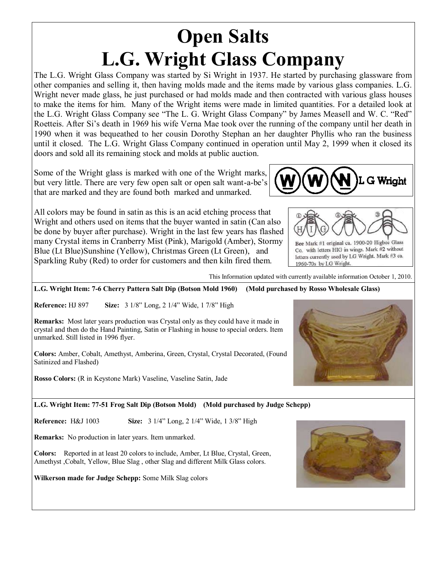# **Open Salts L.G. Wright Glass Company**

The L.G. Wright Glass Company was started by Si Wright in 1937. He started by purchasing glassware from other companies and selling it, then having molds made and the items made by various glass companies. L.G. Wright never made glass, he just purchased or had molds made and then contracted with various glass houses to make the items for him. Many of the Wright items were made in limited quantities. For a detailed look at the L.G. Wright Glass Company see "The L. G. Wright Glass Company" by James Measell and W. C. "Red" Roetteis. After Si's death in 1969 his wife Verna Mae took over the running of the company until her death in 1990 when it was bequeathed to her cousin Dorothy Stephan an her daughter Phyllis who ran the business until it closed. The L.G. Wright Glass Company continued in operation until May 2, 1999 when it closed its doors and sold all its remaining stock and molds at public auction.

Some of the Wright glass is marked with one of the Wright marks, but very little. There are very few open salt or open salt want-a-be's that are marked and they are found both marked and unmarked.

All colors may be found in satin as this is an acid etching process that Wright and others used on items that the buyer wanted in satin (Can also be done by buyer after purchase). Wright in the last few years has flashed many Crystal items in Cranberry Mist (Pink), Marigold (Amber), Stormy Blue (Lt Blue)Sunshine (Yellow), Christmas Green (Lt Green), and Sparkling Ruby (Red) to order for customers and then kiln fired them.





Bee Mark #1 original ca. 1900-20 Higbee Glass Co. with letters HIG in wings. Mark #2 without letters currently used by LG Wright. Mark #3 ca. 1960-70s by LG Wright.

This Information updated with currently available information October 1, 2010.

**L.G. Wright Item: 7-6 Cherry Pattern Salt Dip (Botson Mold 1960) (Mold purchased by Rosso Wholesale Glass)**

**Reference:** HJ 897 **Size:** 3 1/8" Long, 2 1/4" Wide, 1 7/8" High

**Remarks:** Most later years production was Crystal only as they could have it made in crystal and then do the Hand Painting, Satin or Flashing in house to special orders. Item unmarked. Still listed in 1996 flyer.

**Colors:** Amber, Cobalt, Amethyst, Amberina, Green, Crystal, Crystal Decorated, (Found Satinized and Flashed)

**Rosso Colors:** (R in Keystone Mark) Vaseline, Vaseline Satin, Jade



**Reference:** H&J 1003 **Size:** 3 1/4" Long, 2 1/4" Wide, 1 3/8" High

**Remarks:** No production in later years. Item unmarked.

**Colors:** Reported in at least 20 colors to include, Amber, Lt Blue, Crystal, Green, Amethyst ,Cobalt, Yellow, Blue Slag , other Slag and different Milk Glass colors.

**Wilkerson made for Judge Schepp:** Some Milk Slag colors



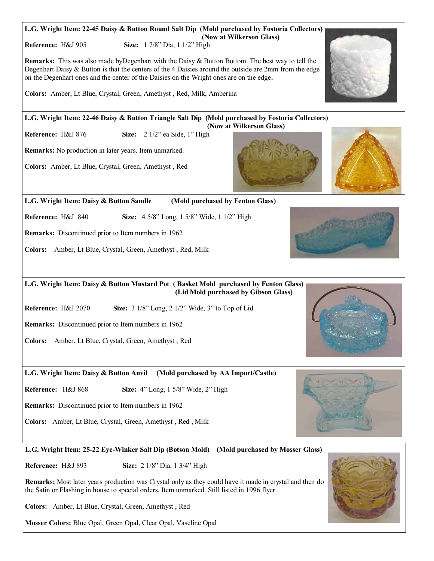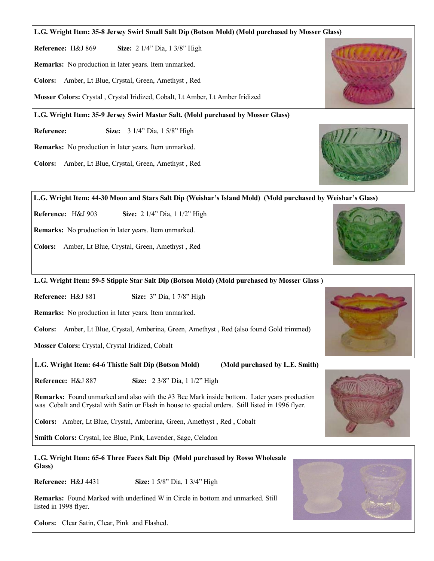#### **L.G. Wright Item: 35-8 Jersey Swirl Small Salt Dip (Botson Mold) (Mold purchased by Mosser Glass)**

**Reference:** H&J 869 **Size:** 2 1/4" Dia, 1 3/8" High

**Remarks:** No production in later years. Item unmarked.

**Colors:** Amber, Lt Blue, Crystal, Green, Amethyst , Red

**Mosser Colors:** Crystal , Crystal Iridized, Cobalt, Lt Amber, Lt Amber Iridized

**L.G. Wright Item: 35-9 Jersey Swirl Master Salt. (Mold purchased by Mosser Glass)**

**Reference:** Size: 3 1/4" Dia, 1 5/8" High

**Remarks:** No production in later years. Item unmarked.

**Colors:** Amber, Lt Blue, Crystal, Green, Amethyst , Red

**L.G. Wright Item: 44-30 Moon and Stars Salt Dip (Weishar's Island Mold) (Mold purchased by Weishar's Glass)**

**Reference:** H&J 903 **Size:** 2 1/4" Dia, 1 1/2" High

**Remarks:** No production in later years. Item unmarked.

**Colors:** Amber, Lt Blue, Crystal, Green, Amethyst , Red

**L.G. Wright Item: 59-5 Stipple Star Salt Dip (Botson Mold) (Mold purchased by Mosser Glass )**

**Reference:** H&J 881 **Size:** 3" Dia, 1 7/8" High

**Remarks:** No production in later years. Item unmarked.

**Colors:** Amber, Lt Blue, Crystal, Amberina, Green, Amethyst , Red (also found Gold trimmed)

**Mosser Colors:** Crystal, Crystal Iridized, Cobalt

**L.G. Wright Item: 64-6 Thistle Salt Dip (Botson Mold) (Mold purchased by L.E. Smith)**

**Reference:** H&J 887 **Size:** 2 3/8" Dia, 1 1/2" High

**Remarks:** Found unmarked and also with the #3 Bee Mark inside bottom. Later years production was Cobalt and Crystal with Satin or Flash in house to special orders. Still listed in 1996 flyer.

**Colors:** Amber, Lt Blue, Crystal, Amberina, Green, Amethyst , Red , Cobalt

**Smith Colors:** Crystal, Ice Blue, Pink, Lavender, Sage, Celadon

**L.G. Wright Item: 65-6 Three Faces Salt Dip (Mold purchased by Rosso Wholesale Glass)**

**Reference:** H&J 4431 **Size:** 1 5/8" Dia, 1 3/4" High

**Remarks:** Found Marked with underlined W in Circle in bottom and unmarked. Still listed in 1998 flyer.

**Colors:** Clear Satin, Clear, Pink and Flashed.







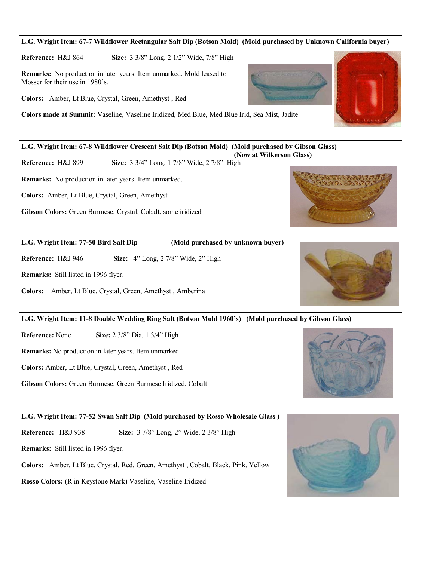## **L.G. Wright Item: 67-8 Wildflower Crescent Salt Dip (Botson Mold) (Mold purchased by Gibson Glass) (Now at Wilkerson Glass) Reference:** H&J 899 **Size:** 3 3/4" Long, 1 7/8" Wide, 2 7/8" High **Remarks:** No production in later years. Item unmarked. **Colors:** Amber, Lt Blue, Crystal, Green, Amethyst **Gibson Colors:** Green Burmese, Crystal, Cobalt, some iridized **L.G. Wright Item: 67-7 Wildflower Rectangular Salt Dip (Botson Mold) (Mold purchased by Unknown California buyer) Reference:** H&J 864 **Size:** 3 3/8" Long, 2 1/2" Wide, 7/8" High **Remarks:** No production in later years. Item unmarked. Mold leased to Mosser for their use in 1980's. **Colors:** Amber, Lt Blue, Crystal, Green, Amethyst , Red **Colors made at Summit:** Vaseline, Vaseline Iridized, Med Blue, Med Blue Irid, Sea Mist, Jadite **L.G. Wright Item: 77-50 Bird Salt Dip (Mold purchased by unknown buyer) Reference:** H&J 946 **Size:** 4" Long, 2 7/8" Wide, 2" High **Remarks:** Still listed in 1996 flyer. **Colors:** Amber, Lt Blue, Crystal, Green, Amethyst , Amberina **L.G. Wright Item: 77-52 Swan Salt Dip (Mold purchased by Rosso Wholesale Glass ) Reference:** H&J 938 **Size:** 3 7/8" Long, 2" Wide, 2 3/8" High **Remarks:** Still listed in 1996 flyer. **L.G. Wright Item: 11-8 Double Wedding Ring Salt (Botson Mold 1960's) (Mold purchased by Gibson Glass) Reference:** None **Size:** 2 3/8" Dia, 1 3/4" High **Remarks:** No production in later years. Item unmarked. **Colors:** Amber, Lt Blue, Crystal, Green, Amethyst , Red **Gibson Colors:** Green Burmese, Green Burmese Iridized, Cobalt

**Colors:** Amber, Lt Blue, Crystal, Red, Green, Amethyst , Cobalt, Black, Pink, Yellow

**Rosso Colors:** (R in Keystone Mark) Vaseline, Vaseline Iridized

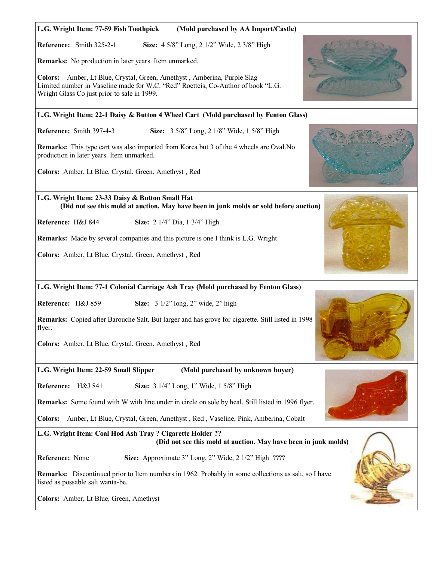